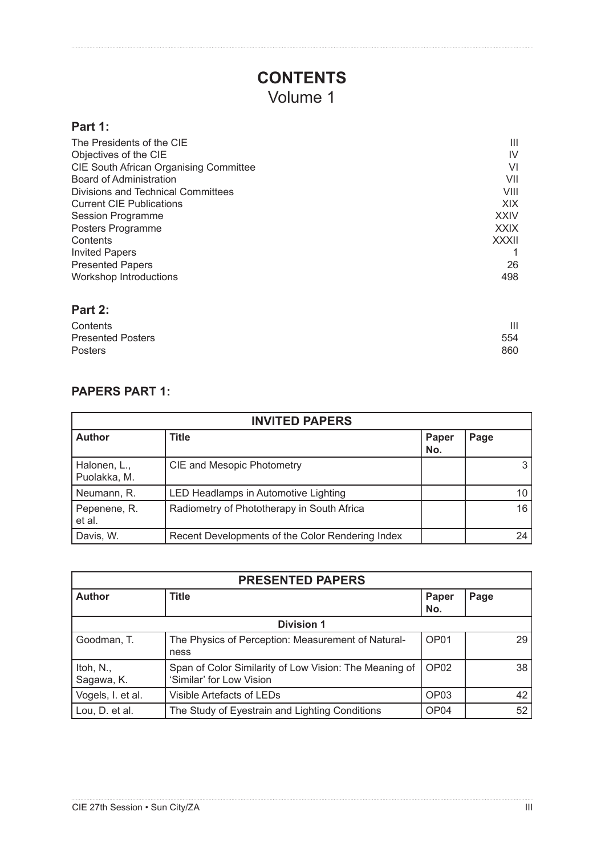## **CONTENTS** Volume 1

## **Part 1:**

| The Presidents of the CIE              | Ш            |
|----------------------------------------|--------------|
| Objectives of the CIE                  | IV           |
| CIE South African Organising Committee | VI           |
| Board of Administration                | VII          |
| Divisions and Technical Committees     | VIII         |
| <b>Current CIE Publications</b>        | <b>XIX</b>   |
| <b>Session Programme</b>               | <b>XXIV</b>  |
| Posters Programme                      | <b>XXIX</b>  |
| Contents                               | <b>XXXII</b> |
| <b>Invited Papers</b>                  |              |
| <b>Presented Papers</b>                | 26           |
| Workshop Introductions                 | 498          |
| Part 2:                                |              |

| Contents                 | Ш   |
|--------------------------|-----|
| <b>Presented Posters</b> | 554 |
| <b>Posters</b>           | 860 |
|                          |     |

## **PAPERS PART 1:**

| <b>INVITED PAPERS</b>        |                                                  |              |      |
|------------------------------|--------------------------------------------------|--------------|------|
| <b>Author</b>                | Title                                            | Paper<br>No. | Page |
| Halonen, L.,<br>Puolakka, M. | <b>CIE and Mesopic Photometry</b>                |              | 3    |
| Neumann, R.                  | LED Headlamps in Automotive Lighting             |              | 10   |
| Pepenene, R.<br>et al.       | Radiometry of Phototherapy in South Africa       |              | 16   |
| Davis, W.                    | Recent Developments of the Color Rendering Index |              | 24   |

| <b>PRESENTED PAPERS</b> |                                                                                    |                  |      |
|-------------------------|------------------------------------------------------------------------------------|------------------|------|
| <b>Author</b>           | <b>Title</b>                                                                       | Paper<br>No.     | Page |
| <b>Division 1</b>       |                                                                                    |                  |      |
| Goodman, T.             | The Physics of Perception: Measurement of Natural-<br>ness                         | OP01             | 29   |
| Itoh, N.,<br>Sagawa, K. | Span of Color Similarity of Low Vision: The Meaning of<br>'Similar' for Low Vision | OP <sub>02</sub> | 38   |
| Vogels, I. et al.       | Visible Artefacts of LEDs                                                          | OP <sub>03</sub> | 42   |
| Lou, D. et al.          | The Study of Eyestrain and Lighting Conditions                                     | OP <sub>04</sub> | 52   |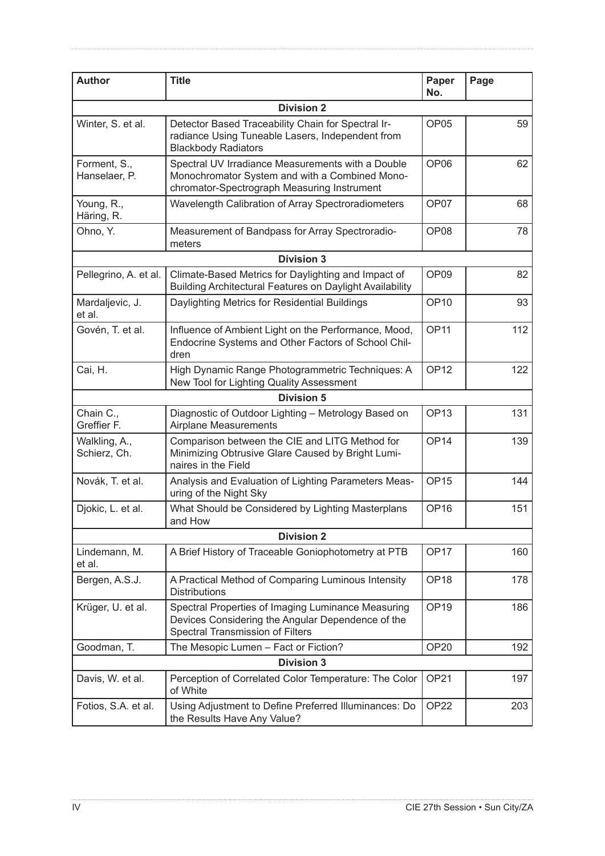| <b>Author</b>                 | <b>Title</b>                                                                                                                                       | Paper<br>No.     | Page |
|-------------------------------|----------------------------------------------------------------------------------------------------------------------------------------------------|------------------|------|
|                               | <b>Division 2</b>                                                                                                                                  |                  |      |
| Winter, S. et al.             | Detector Based Traceability Chain for Spectral Ir-<br>radiance Using Tuneable Lasers, Independent from<br><b>Blackbody Radiators</b>               | OP <sub>05</sub> | 59   |
| Forment, S.,<br>Hanselaer, P. | Spectral UV Irradiance Measurements with a Double<br>Monochromator System and with a Combined Mono-<br>chromator-Spectrograph Measuring Instrument | OP <sub>06</sub> | 62   |
| Young, R.,<br>Häring, R.      | Wavelength Calibration of Array Spectroradiometers                                                                                                 | OP07             | 68   |
| Ohno, Y.                      | Measurement of Bandpass for Array Spectroradio-<br>meters                                                                                          | OP <sub>08</sub> | 78   |
|                               | <b>Division 3</b>                                                                                                                                  |                  |      |
| Pellegrino, A. et al.         | Climate-Based Metrics for Daylighting and Impact of<br><b>Building Architectural Features on Daylight Availability</b>                             | OP <sub>09</sub> | 82   |
| Mardaljevic, J.<br>et al.     | Daylighting Metrics for Residential Buildings                                                                                                      | <b>OP10</b>      | 93   |
| Govén, T. et al.              | Influence of Ambient Light on the Performance, Mood,<br>Endocrine Systems and Other Factors of School Chil-<br>dren                                | OP <sub>11</sub> | 112  |
| Cai, H.                       | High Dynamic Range Photogrammetric Techniques: A<br>New Tool for Lighting Quality Assessment                                                       | OP <sub>12</sub> | 122  |
|                               | <b>Division 5</b>                                                                                                                                  |                  |      |
| Chain C.,<br>Greffier F.      | Diagnostic of Outdoor Lighting - Metrology Based on<br><b>Airplane Measurements</b>                                                                | OP <sub>13</sub> | 131  |
| Walkling, A.,<br>Schierz, Ch. | Comparison between the CIE and LITG Method for<br>Minimizing Obtrusive Glare Caused by Bright Lumi-<br>naires in the Field                         | OP <sub>14</sub> | 139  |
| Novák, T. et al.              | Analysis and Evaluation of Lighting Parameters Meas-<br>uring of the Night Sky                                                                     | OP <sub>15</sub> | 144  |
| Djokic, L. et al.             | What Should be Considered by Lighting Masterplans<br>and How                                                                                       | OP <sub>16</sub> | 151  |
|                               | <b>Division 2</b>                                                                                                                                  |                  |      |
| Lindemann, M.<br>et al.       | A Brief History of Traceable Goniophotometry at PTB                                                                                                | OP <sub>17</sub> | 160  |
| Bergen, A.S.J.                | A Practical Method of Comparing Luminous Intensity<br><b>Distributions</b>                                                                         | OP <sub>18</sub> | 178  |
| Krüger, U. et al.             | Spectral Properties of Imaging Luminance Measuring<br>Devices Considering the Angular Dependence of the<br>Spectral Transmission of Filters        | OP <sub>19</sub> | 186  |
| Goodman, T.                   | The Mesopic Lumen - Fact or Fiction?                                                                                                               | <b>OP20</b>      | 192  |
|                               | <b>Division 3</b>                                                                                                                                  |                  |      |
| Davis, W. et al.              | Perception of Correlated Color Temperature: The Color<br>of White                                                                                  | OP <sub>21</sub> | 197  |
| Fotios, S.A. et al.           | Using Adjustment to Define Preferred Illuminances: Do<br>the Results Have Any Value?                                                               | OP <sub>22</sub> | 203  |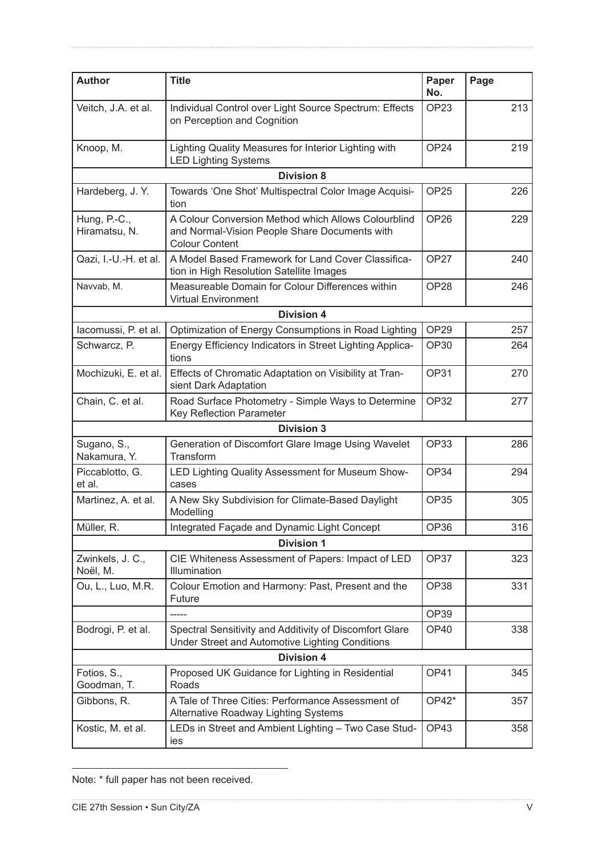| <b>Author</b>                 | <b>Title</b>                                                                                                                  | Paper<br>No.     | Page |
|-------------------------------|-------------------------------------------------------------------------------------------------------------------------------|------------------|------|
| Veitch, J.A. et al.           | Individual Control over Light Source Spectrum: Effects<br>on Perception and Cognition                                         |                  | 213  |
| Knoop, M.                     | Lighting Quality Measures for Interior Lighting with<br><b>LED Lighting Systems</b>                                           | OP <sub>24</sub> | 219  |
|                               | <b>Division 8</b>                                                                                                             |                  |      |
| Hardeberg, J.Y.               | Towards 'One Shot' Multispectral Color Image Acquisi-<br>tion                                                                 | OP <sub>25</sub> | 226  |
| Hung, P.-C.,<br>Hiramatsu, N. | A Colour Conversion Method which Allows Colourblind<br>and Normal-Vision People Share Documents with<br><b>Colour Content</b> | OP <sub>26</sub> | 229  |
| Qazi, I.-U.-H. et al.         | A Model Based Framework for Land Cover Classifica-<br>tion in High Resolution Satellite Images                                | OP <sub>27</sub> | 240  |
| Navvab, M.                    | Measureable Domain for Colour Differences within<br><b>Virtual Environment</b>                                                | OP <sub>28</sub> | 246  |
|                               | <b>Division 4</b>                                                                                                             |                  |      |
| lacomussi, P. et al.          | Optimization of Energy Consumptions in Road Lighting                                                                          | OP <sub>29</sub> | 257  |
| Schwarcz, P.                  | Energy Efficiency Indicators in Street Lighting Applica-<br>tions                                                             | <b>OP30</b>      | 264  |
| Mochizuki, E. et al.          | Effects of Chromatic Adaptation on Visibility at Tran-<br>sient Dark Adaptation                                               | <b>OP31</b>      | 270  |
| Chain, C. et al.              | Road Surface Photometry - Simple Ways to Determine<br>Key Reflection Parameter                                                | <b>OP32</b>      | 277  |
|                               | <b>Division 3</b>                                                                                                             |                  |      |
| Sugano, S.,<br>Nakamura, Y.   | Generation of Discomfort Glare Image Using Wavelet<br>Transform                                                               | <b>OP33</b>      | 286  |
| Piccablotto, G.<br>et al.     | LED Lighting Quality Assessment for Museum Show-<br>cases                                                                     | <b>OP34</b>      | 294  |
| Martinez, A. et al.           | A New Sky Subdivision for Climate-Based Daylight<br>Modelling                                                                 | <b>OP35</b>      | 305  |
| Müller, R.                    | Integrated Façade and Dynamic Light Concept                                                                                   | OP36             | 316  |
|                               | <b>Division 1</b>                                                                                                             |                  |      |
| Zwinkels, J. C.,<br>Noël, M.  | CIE Whiteness Assessment of Papers: Impact of LED<br>Illumination                                                             | OP37             | 323  |
| Ou, L., Luo, M.R.             | Colour Emotion and Harmony: Past, Present and the<br>Future                                                                   | OP38             | 331  |
|                               |                                                                                                                               | OP39             |      |
| Bodrogi, P. et al.            | Spectral Sensitivity and Additivity of Discomfort Glare<br>Under Street and Automotive Lighting Conditions                    | OP40             | 338  |
|                               | <b>Division 4</b>                                                                                                             |                  |      |
| Fotios, S.,<br>Goodman, T.    | Proposed UK Guidance for Lighting in Residential<br>Roads                                                                     | OP41             | 345  |
| Gibbons, R.                   | A Tale of Three Cities: Performance Assessment of<br>Alternative Roadway Lighting Systems                                     | OP42*            | 357  |
| Kostic, M. et al.             | LEDs in Street and Ambient Lighting - Two Case Stud-<br>ies                                                                   | OP43             | 358  |

Note: \* full paper has not been received.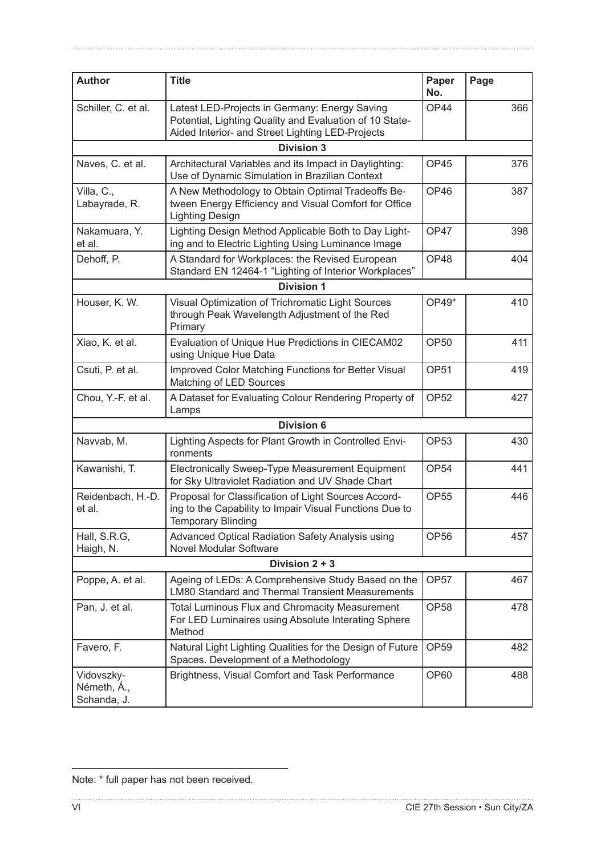| <b>Author</b>                            | <b>Title</b>                                                                                                                                                 | Paper<br>No.     | Page |
|------------------------------------------|--------------------------------------------------------------------------------------------------------------------------------------------------------------|------------------|------|
| Schiller, C. et al.                      | Latest LED-Projects in Germany: Energy Saving<br>Potential, Lighting Quality and Evaluation of 10 State-<br>Aided Interior- and Street Lighting LED-Projects |                  | 366  |
|                                          | <b>Division 3</b>                                                                                                                                            |                  |      |
| Naves, C. et al.                         | Architectural Variables and its Impact in Daylighting:<br>Use of Dynamic Simulation in Brazilian Context                                                     | OP45             | 376  |
| Villa, C.,<br>Labayrade, R.              | A New Methodology to Obtain Optimal Tradeoffs Be-<br>tween Energy Efficiency and Visual Comfort for Office<br><b>Lighting Design</b>                         | OP46             | 387  |
| Nakamuara, Y.<br>et al.                  | Lighting Design Method Applicable Both to Day Light-<br>ing and to Electric Lighting Using Luminance Image                                                   | OP47             | 398  |
| Dehoff, P.                               | A Standard for Workplaces: the Revised European<br>Standard EN 12464-1 "Lighting of Interior Workplaces"                                                     | OP48             | 404  |
|                                          | <b>Division 1</b>                                                                                                                                            |                  |      |
| Houser, K. W.                            | Visual Optimization of Trichromatic Light Sources<br>through Peak Wavelength Adjustment of the Red<br>Primary                                                | OP49*            | 410  |
| Xiao, K. et al.                          | Evaluation of Unique Hue Predictions in CIECAM02<br>using Unique Hue Data                                                                                    | <b>OP50</b>      | 411  |
| Csuti, P. et al.                         | Improved Color Matching Functions for Better Visual<br>Matching of LED Sources                                                                               | <b>OP51</b>      | 419  |
| Chou, Y.-F. et al.                       | A Dataset for Evaluating Colour Rendering Property of<br>Lamps                                                                                               | <b>OP52</b>      | 427  |
|                                          | <b>Division 6</b>                                                                                                                                            |                  |      |
| Navvab, M.                               | Lighting Aspects for Plant Growth in Controlled Envi-<br>ronments                                                                                            | OP <sub>53</sub> | 430  |
| Kawanishi, T.                            | Electronically Sweep-Type Measurement Equipment<br>for Sky Ultraviolet Radiation and UV Shade Chart                                                          | OP <sub>54</sub> | 441  |
| Reidenbach, H.-D.<br>et al.              | Proposal for Classification of Light Sources Accord-<br>ing to the Capability to Impair Visual Functions Due to<br><b>Temporary Blinding</b>                 | <b>OP55</b>      | 446  |
| Hall, S.R.G,<br>Haigh, N.                | Advanced Optical Radiation Safety Analysis using<br>Novel Modular Software                                                                                   | <b>OP56</b>      | 457  |
|                                          | Division $2 + 3$                                                                                                                                             |                  |      |
| Poppe, A. et al.                         | Ageing of LEDs: A Comprehensive Study Based on the<br><b>LM80 Standard and Thermal Transient Measurements</b>                                                | OP <sub>57</sub> | 467  |
| Pan, J. et al.                           | Total Luminous Flux and Chromacity Measurement<br>For LED Luminaires using Absolute Interating Sphere<br>Method                                              | <b>OP58</b>      | 478  |
| Favero, F.                               | Natural Light Lighting Qualities for the Design of Future<br>Spaces. Development of a Methodology                                                            | <b>OP59</b>      | 482  |
| Vidovszky-<br>Németh, Á.,<br>Schanda, J. | Brightness, Visual Comfort and Task Performance                                                                                                              | <b>OP60</b>      | 488  |

Note: \* full paper has not been received.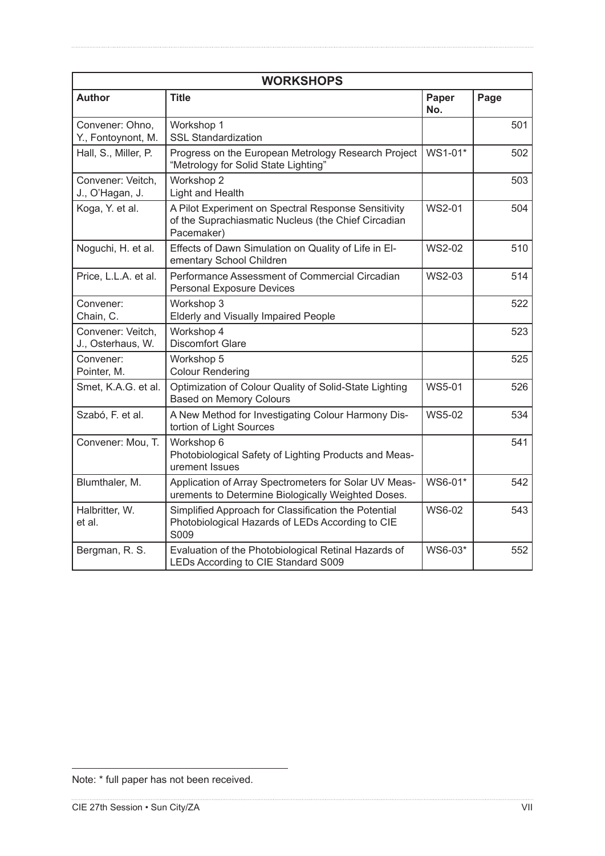| <b>WORKSHOPS</b>                       |                                                                                                                          |               |      |  |
|----------------------------------------|--------------------------------------------------------------------------------------------------------------------------|---------------|------|--|
| <b>Author</b>                          | <b>Title</b>                                                                                                             | Paper<br>No.  | Page |  |
| Convener: Ohno,<br>Y., Fontoynont, M.  | Workshop 1<br><b>SSL Standardization</b>                                                                                 |               | 501  |  |
| Hall, S., Miller, P.                   | Progress on the European Metrology Research Project<br>"Metrology for Solid State Lighting"                              | WS1-01*       | 502  |  |
| Convener: Veitch,<br>J., O'Hagan, J.   | Workshop 2<br>Light and Health                                                                                           |               | 503  |  |
| Koga, Y. et al.                        | A Pilot Experiment on Spectral Response Sensitivity<br>of the Suprachiasmatic Nucleus (the Chief Circadian<br>Pacemaker) | <b>WS2-01</b> | 504  |  |
| Noguchi, H. et al.                     | Effects of Dawn Simulation on Quality of Life in El-<br>ementary School Children                                         | <b>WS2-02</b> | 510  |  |
| Price, L.L.A. et al.                   | Performance Assessment of Commercial Circadian<br><b>Personal Exposure Devices</b>                                       | WS2-03        | 514  |  |
| Convener:<br>Chain, C.                 | Workshop 3<br>Elderly and Visually Impaired People                                                                       |               | 522  |  |
| Convener: Veitch,<br>J., Osterhaus, W. | Workshop 4<br><b>Discomfort Glare</b>                                                                                    |               | 523  |  |
| Convener:<br>Pointer, M.               | Workshop 5<br><b>Colour Rendering</b>                                                                                    |               | 525  |  |
| Smet, K.A.G. et al.                    | Optimization of Colour Quality of Solid-State Lighting<br><b>Based on Memory Colours</b>                                 | <b>WS5-01</b> | 526  |  |
| Szabó, F. et al.                       | A New Method for Investigating Colour Harmony Dis-<br>tortion of Light Sources                                           | <b>WS5-02</b> | 534  |  |
| Convener: Mou, T.                      | Workshop 6<br>Photobiological Safety of Lighting Products and Meas-<br>urement Issues                                    |               | 541  |  |
| Blumthaler, M.                         | Application of Array Spectrometers for Solar UV Meas-<br>urements to Determine Biologically Weighted Doses.              | WS6-01*       | 542  |  |
| Halbritter, W.<br>et al.               | Simplified Approach for Classification the Potential<br>Photobiological Hazards of LEDs According to CIE<br>S009         | WS6-02        | 543  |  |
| Bergman, R. S.                         | Evaluation of the Photobiological Retinal Hazards of<br>LEDs According to CIE Standard S009                              | WS6-03*       | 552  |  |

Note: \* full paper has not been received.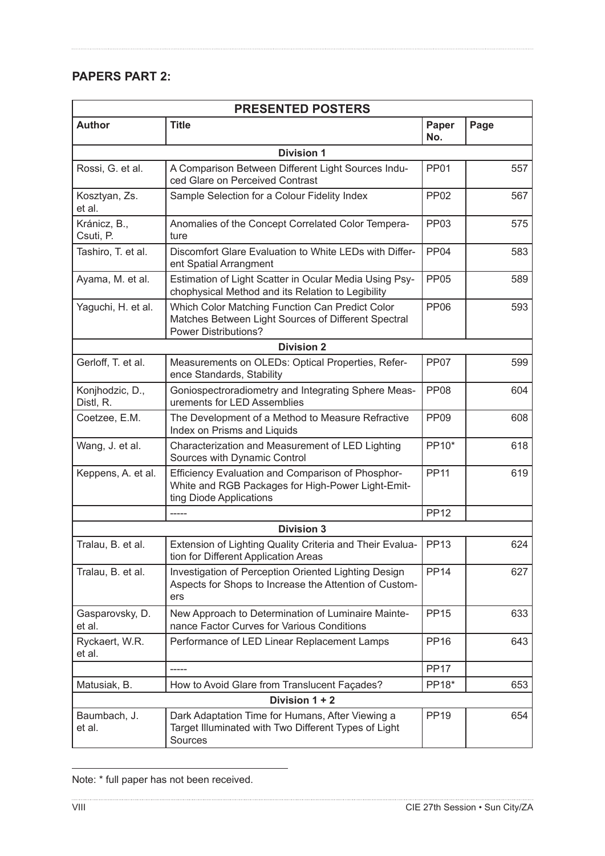## **PAPERS PART 2:**

| <b>PRESENTED POSTERS</b>     |                                                                                                                                       |                  |      |
|------------------------------|---------------------------------------------------------------------------------------------------------------------------------------|------------------|------|
| <b>Author</b>                | <b>Title</b>                                                                                                                          | Paper<br>No.     | Page |
|                              | <b>Division 1</b>                                                                                                                     |                  |      |
| Rossi, G. et al.             | A Comparison Between Different Light Sources Indu-<br>ced Glare on Perceived Contrast                                                 | <b>PP01</b>      | 557  |
| Kosztyan, Zs.<br>et al.      | Sample Selection for a Colour Fidelity Index                                                                                          | <b>PP02</b>      | 567  |
| Kránicz, B.,<br>Csuti, P.    | Anomalies of the Concept Correlated Color Tempera-<br>ture                                                                            | <b>PP03</b>      | 575  |
| Tashiro, T. et al.           | Discomfort Glare Evaluation to White LEDs with Differ-<br>ent Spatial Arrangment                                                      | PP <sub>04</sub> | 583  |
| Ayama, M. et al.             | Estimation of Light Scatter in Ocular Media Using Psy-<br>chophysical Method and its Relation to Legibility                           | <b>PP05</b>      | 589  |
| Yaguchi, H. et al.           | Which Color Matching Function Can Predict Color<br>Matches Between Light Sources of Different Spectral<br><b>Power Distributions?</b> | <b>PP06</b>      | 593  |
|                              | <b>Division 2</b>                                                                                                                     |                  |      |
| Gerloff, T. et al.           | Measurements on OLEDs: Optical Properties, Refer-<br>ence Standards, Stability                                                        | PP <sub>07</sub> | 599  |
| Konjhodzic, D.,<br>Distl, R. | Goniospectroradiometry and Integrating Sphere Meas-<br>urements for LED Assemblies                                                    | <b>PP08</b>      | 604  |
| Coetzee, E.M.                | The Development of a Method to Measure Refractive<br>Index on Prisms and Liquids                                                      | PP <sub>09</sub> | 608  |
| Wang, J. et al.              | Characterization and Measurement of LED Lighting<br>Sources with Dynamic Control                                                      |                  | 618  |
| Keppens, A. et al.           | Efficiency Evaluation and Comparison of Phosphor-<br>White and RGB Packages for High-Power Light-Emit-<br>ting Diode Applications     | <b>PP11</b>      | 619  |
|                              | -----                                                                                                                                 | <b>PP12</b>      |      |
|                              | <b>Division 3</b>                                                                                                                     |                  |      |
| Tralau, B. et al.            | Extension of Lighting Quality Criteria and Their Evalua-<br>tion for Different Application Areas                                      | <b>PP13</b>      | 624  |
| Tralau, B. et al.            | Investigation of Perception Oriented Lighting Design<br>Aspects for Shops to Increase the Attention of Custom-<br>ers                 | <b>PP14</b>      | 627  |
| Gasparovsky, D.<br>et al.    | New Approach to Determination of Luminaire Mainte-<br>nance Factor Curves for Various Conditions                                      | <b>PP15</b>      | 633  |
| Ryckaert, W.R.<br>et al.     | Performance of LED Linear Replacement Lamps                                                                                           | <b>PP16</b>      | 643  |
|                              |                                                                                                                                       | <b>PP17</b>      |      |
| Matusiak, B.                 | How to Avoid Glare from Translucent Façades?                                                                                          | PP18*            | 653  |
|                              | Division 1 + 2                                                                                                                        |                  |      |
| Baumbach, J.<br>et al.       | Dark Adaptation Time for Humans, After Viewing a<br>Target Illuminated with Two Different Types of Light<br>Sources                   | <b>PP19</b>      | 654  |

| Note: * full paper has not been received. |  |  |  |  |  |
|-------------------------------------------|--|--|--|--|--|
|-------------------------------------------|--|--|--|--|--|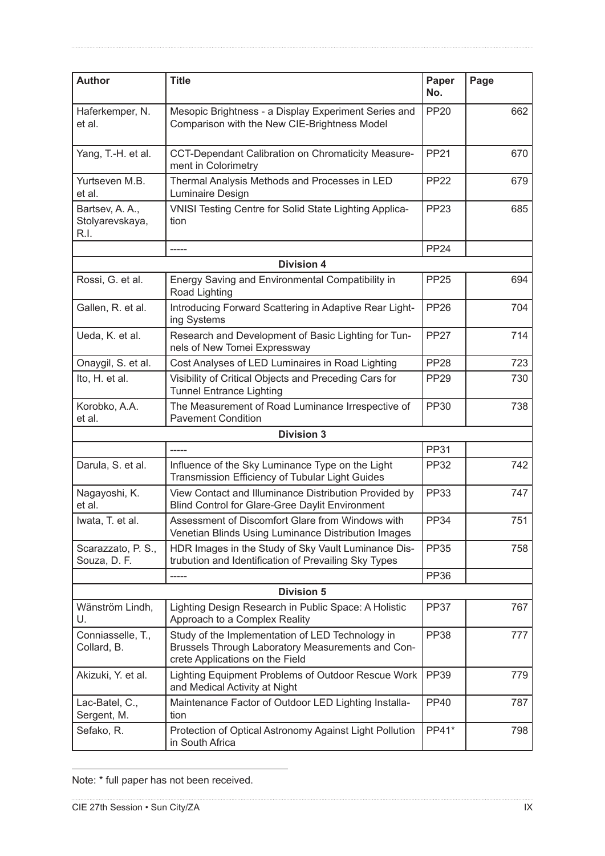| <b>Author</b>                              | <b>Title</b>                                                                                                                             | Paper<br>No. | Page |
|--------------------------------------------|------------------------------------------------------------------------------------------------------------------------------------------|--------------|------|
| Haferkemper, N.<br>et al.                  | Mesopic Brightness - a Display Experiment Series and<br>Comparison with the New CIE-Brightness Model                                     | <b>PP20</b>  | 662  |
| Yang, T.-H. et al.                         | CCT-Dependant Calibration on Chromaticity Measure-<br>ment in Colorimetry                                                                | <b>PP21</b>  | 670  |
| Yurtseven M.B.<br>et al.                   | Thermal Analysis Methods and Processes in LED<br>Luminaire Design                                                                        | <b>PP22</b>  | 679  |
| Bartsev, A. A.,<br>Stolyarevskaya,<br>R.I. | VNISI Testing Centre for Solid State Lighting Applica-<br>tion                                                                           | <b>PP23</b>  | 685  |
|                                            | -----                                                                                                                                    | <b>PP24</b>  |      |
|                                            | <b>Division 4</b>                                                                                                                        |              |      |
| Rossi, G. et al.                           | Energy Saving and Environmental Compatibility in<br>Road Lighting                                                                        | <b>PP25</b>  | 694  |
| Gallen, R. et al.                          | Introducing Forward Scattering in Adaptive Rear Light-<br>ing Systems                                                                    | <b>PP26</b>  | 704  |
| Ueda, K. et al.                            | Research and Development of Basic Lighting for Tun-<br>nels of New Tomei Expressway                                                      | <b>PP27</b>  | 714  |
| Onaygil, S. et al.                         | Cost Analyses of LED Luminaires in Road Lighting                                                                                         | <b>PP28</b>  | 723  |
| Ito, H. et al.                             | Visibility of Critical Objects and Preceding Cars for<br><b>Tunnel Entrance Lighting</b>                                                 | <b>PP29</b>  | 730  |
| Korobko, A.A.<br>et al.                    | The Measurement of Road Luminance Irrespective of<br><b>Pavement Condition</b>                                                           | <b>PP30</b>  | 738  |
|                                            | <b>Division 3</b>                                                                                                                        |              |      |
|                                            |                                                                                                                                          | <b>PP31</b>  |      |
| Darula, S. et al.                          | Influence of the Sky Luminance Type on the Light<br>Transmission Efficiency of Tubular Light Guides                                      | <b>PP32</b>  | 742  |
| Nagayoshi, K.<br>et al.                    | View Contact and Illuminance Distribution Provided by<br>Blind Control for Glare-Gree Daylit Environment                                 | <b>PP33</b>  | 747  |
| Iwata, T. et al.                           | Assessment of Discomfort Glare from Windows with<br>Venetian Blinds Using Luminance Distribution Images                                  | <b>PP34</b>  | 751  |
| Scarazzato, P. S.,<br>Souza, D. F.         | HDR Images in the Study of Sky Vault Luminance Dis-<br>trubution and Identification of Prevailing Sky Types                              | <b>PP35</b>  | 758  |
|                                            |                                                                                                                                          | <b>PP36</b>  |      |
|                                            | <b>Division 5</b>                                                                                                                        |              |      |
| Wänström Lindh,<br>U.                      | Lighting Design Research in Public Space: A Holistic<br>Approach to a Complex Reality                                                    | <b>PP37</b>  | 767  |
| Conniasselle, T.,<br>Collard, B.           | Study of the Implementation of LED Technology in<br>Brussels Through Laboratory Measurements and Con-<br>crete Applications on the Field | <b>PP38</b>  | 777  |
| Akizuki, Y. et al.                         | Lighting Equipment Problems of Outdoor Rescue Work<br>and Medical Activity at Night                                                      | <b>PP39</b>  | 779  |
| Lac-Batel, C.,<br>Sergent, M.              | Maintenance Factor of Outdoor LED Lighting Installa-<br>tion                                                                             | <b>PP40</b>  | 787  |
| Sefako, R.                                 | Protection of Optical Astronomy Against Light Pollution<br>in South Africa                                                               | PP41*        | 798  |

Note: \* full paper has not been received.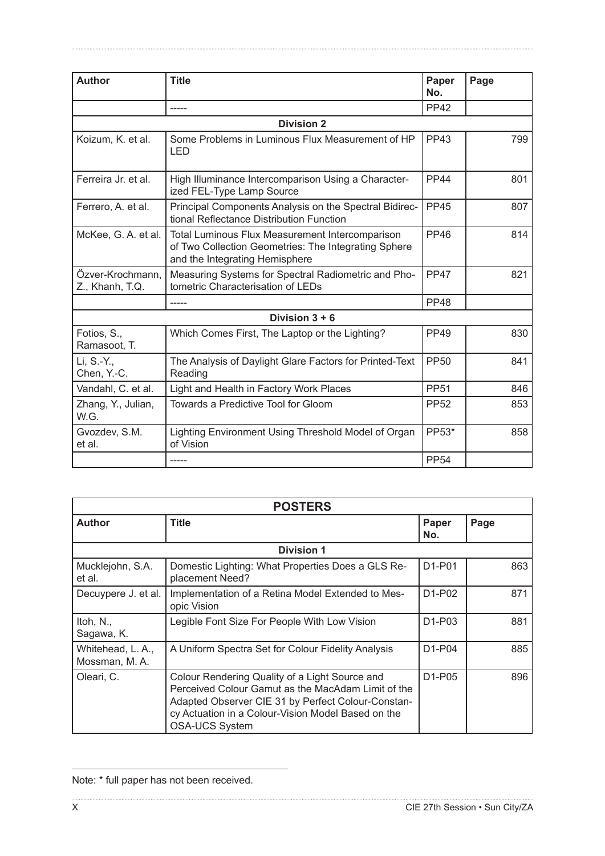| <b>Author</b>                       | <b>Title</b>                                                                                                                              |             | Page |
|-------------------------------------|-------------------------------------------------------------------------------------------------------------------------------------------|-------------|------|
|                                     | -----                                                                                                                                     | <b>PP42</b> |      |
|                                     | <b>Division 2</b>                                                                                                                         |             |      |
| Koizum, K. et al.                   | Some Problems in Luminous Flux Measurement of HP<br>LED                                                                                   | <b>PP43</b> | 799  |
| Ferreira Jr. et al.                 | High Illuminance Intercomparison Using a Character-<br>ized FEL-Type Lamp Source                                                          | <b>PP44</b> | 801  |
| Ferrero, A. et al.                  | Principal Components Analysis on the Spectral Bidirec-<br>tional Reflectance Distribution Function                                        | <b>PP45</b> | 807  |
| McKee, G. A. et al.                 | Total Luminous Flux Measurement Intercomparison<br>of Two Collection Geometries: The Integrating Sphere<br>and the Integrating Hemisphere | <b>PP46</b> | 814  |
| Özver-Krochmann,<br>Z., Khanh, T.Q. | Measuring Systems for Spectral Radiometric and Pho-<br>tometric Characterisation of LEDs                                                  | <b>PP47</b> | 821  |
|                                     |                                                                                                                                           | <b>PP48</b> |      |
|                                     | Division $3 + 6$                                                                                                                          |             |      |
| Fotios, S.,<br>Ramasoot, T.         | Which Comes First, The Laptop or the Lighting?                                                                                            | PP49        | 830  |
| Li, S.-Y.,<br>Chen, Y.-C.           | The Analysis of Daylight Glare Factors for Printed-Text<br>Reading                                                                        | <b>PP50</b> | 841  |
| Vandahl, C. et al.                  | Light and Health in Factory Work Places                                                                                                   | <b>PP51</b> | 846  |
| Zhang, Y., Julian,<br>W.G.          | Towards a Predictive Tool for Gloom                                                                                                       | <b>PP52</b> | 853  |
| Gvozdev, S.M.<br>et al.             | Lighting Environment Using Threshold Model of Organ<br>of Vision                                                                          | PP53*       | 858  |
|                                     | -----                                                                                                                                     | <b>PP54</b> |      |

| <b>POSTERS</b>                     |                                                                                                                                                                                                                                           |                                 |      |  |
|------------------------------------|-------------------------------------------------------------------------------------------------------------------------------------------------------------------------------------------------------------------------------------------|---------------------------------|------|--|
| <b>Author</b>                      | <b>Title</b>                                                                                                                                                                                                                              |                                 | Page |  |
|                                    | <b>Division 1</b>                                                                                                                                                                                                                         |                                 |      |  |
| Mucklejohn, S.A.<br>et al.         | Domestic Lighting: What Properties Does a GLS Re-<br>placement Need?                                                                                                                                                                      | D1-P01                          | 863  |  |
| Decuypere J. et al.                | Implementation of a Retina Model Extended to Mes-<br>opic Vision                                                                                                                                                                          | D <sub>1</sub> -P <sub>02</sub> | 871  |  |
| Itoh, $N_{\cdot}$ ,<br>Sagawa, K.  | Legible Font Size For People With Low Vision                                                                                                                                                                                              | D <sub>1</sub> -P <sub>03</sub> | 881  |  |
| Whitehead, L. A.,<br>Mossman, M.A. | A Uniform Spectra Set for Colour Fidelity Analysis                                                                                                                                                                                        | D <sub>1</sub> -P <sub>04</sub> | 885  |  |
| Oleari, C.                         | Colour Rendering Quality of a Light Source and<br>Perceived Colour Gamut as the MacAdam Limit of the<br>Adapted Observer CIE 31 by Perfect Colour-Constan-<br>cy Actuation in a Colour-Vision Model Based on the<br><b>OSA-UCS System</b> | D <sub>1</sub> -P <sub>05</sub> | 896  |  |

| Note: * full paper has not been received. |  |  |  |  |
|-------------------------------------------|--|--|--|--|
|-------------------------------------------|--|--|--|--|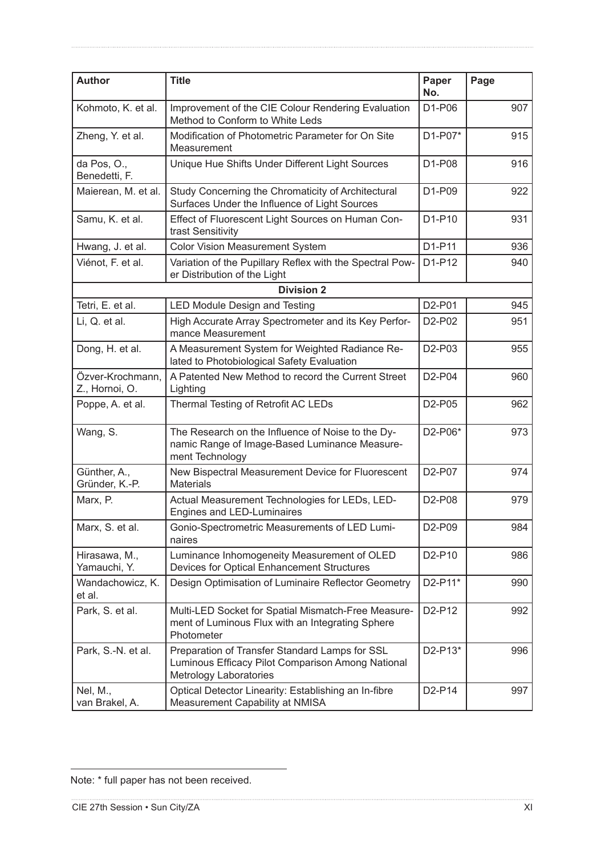| <b>Author</b>                      | <b>Title</b>                                                                                                                         | Paper<br>No.                    | Page |
|------------------------------------|--------------------------------------------------------------------------------------------------------------------------------------|---------------------------------|------|
| Kohmoto, K. et al.                 | Improvement of the CIE Colour Rendering Evaluation<br>Method to Conform to White Leds                                                | D1-P06                          | 907  |
| Zheng, Y. et al.                   | Modification of Photometric Parameter for On Site<br>D1-P07*<br>Measurement                                                          |                                 | 915  |
| da Pos, O.,<br>Benedetti, F.       | Unique Hue Shifts Under Different Light Sources                                                                                      | D1-P08                          | 916  |
| Maierean, M. et al.                | Study Concerning the Chromaticity of Architectural<br>Surfaces Under the Influence of Light Sources                                  | D1-P09                          | 922  |
| Samu, K. et al.                    | Effect of Fluorescent Light Sources on Human Con-<br>trast Sensitivity                                                               | D1-P10                          | 931  |
| Hwang, J. et al.                   | <b>Color Vision Measurement System</b>                                                                                               | D1-P11                          | 936  |
| Viénot, F. et al.                  | Variation of the Pupillary Reflex with the Spectral Pow-<br>er Distribution of the Light                                             | D1-P12                          | 940  |
|                                    | <b>Division 2</b>                                                                                                                    |                                 |      |
| Tetri, E. et al.                   | <b>LED Module Design and Testing</b>                                                                                                 | D2-P01                          | 945  |
| Li, Q. et al.                      | High Accurate Array Spectrometer and its Key Perfor-<br>mance Measurement                                                            | D2-P02                          | 951  |
| Dong, H. et al.                    | A Measurement System for Weighted Radiance Re-<br>lated to Photobiological Safety Evaluation                                         | D <sub>2</sub> -P <sub>03</sub> | 955  |
| Özver-Krochmann,<br>Z., Hornoi, O. | A Patented New Method to record the Current Street<br>Lighting                                                                       | D <sub>2</sub> -P <sub>04</sub> | 960  |
| Poppe, A. et al.                   | Thermal Testing of Retrofit AC LEDs                                                                                                  | D <sub>2</sub> -P <sub>05</sub> | 962  |
| Wang, S.                           | The Research on the Influence of Noise to the Dy-<br>namic Range of Image-Based Luminance Measure-<br>ment Technology                | D2-P06*                         | 973  |
| Günther, A.,<br>Gründer, K.-P.     | New Bispectral Measurement Device for Fluorescent<br><b>Materials</b>                                                                | D2-P07                          | 974  |
| Marx, P.                           | Actual Measurement Technologies for LEDs, LED-<br>Engines and LED-Luminaires                                                         | D <sub>2</sub> -P <sub>08</sub> | 979  |
| Marx, S. et al.                    | Gonio-Spectrometric Measurements of LED Lumi-<br>naires                                                                              | D2-P09                          | 984  |
| Hirasawa, M.,<br>Yamauchi, Y.      | Luminance Inhomogeneity Measurement of OLED<br>Devices for Optical Enhancement Structures                                            | D2-P10                          | 986  |
| Wandachowicz, K.<br>et al.         | Design Optimisation of Luminaire Reflector Geometry                                                                                  | D2-P11*                         | 990  |
| Park, S. et al.                    | Multi-LED Socket for Spatial Mismatch-Free Measure-<br>ment of Luminous Flux with an Integrating Sphere<br>Photometer                | D2-P12                          | 992  |
| Park, S.-N. et al.                 | Preparation of Transfer Standard Lamps for SSL<br>Luminous Efficacy Pilot Comparison Among National<br><b>Metrology Laboratories</b> | D2-P13*                         | 996  |
| Nel, M.,<br>van Brakel, A.         | Optical Detector Linearity: Establishing an In-fibre<br>Measurement Capability at NMISA                                              | D2-P14                          | 997  |

Note: \* full paper has not been received.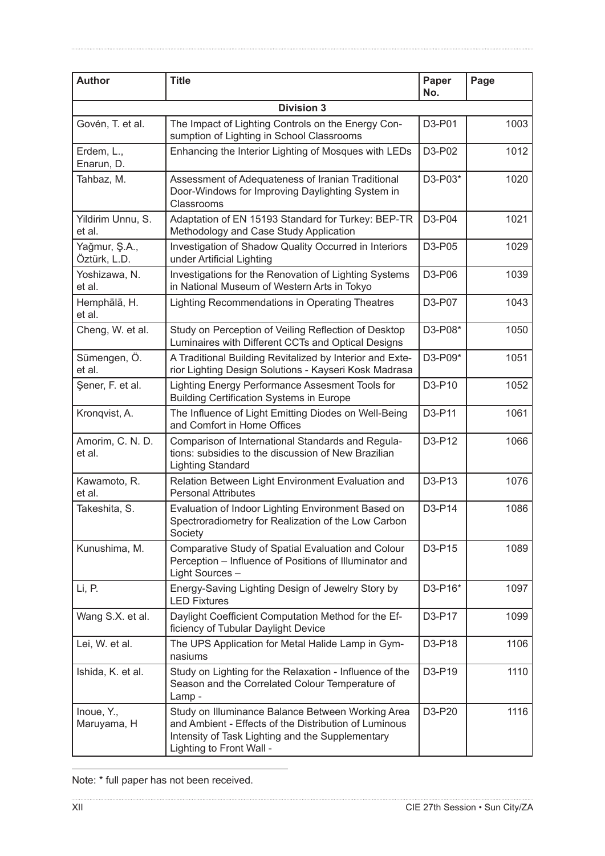| <b>Author</b>                 | <b>Title</b>                                                                                                                                                                               | Paper<br>No. | Page |
|-------------------------------|--------------------------------------------------------------------------------------------------------------------------------------------------------------------------------------------|--------------|------|
|                               | <b>Division 3</b>                                                                                                                                                                          |              |      |
| Govén, T. et al.              | The Impact of Lighting Controls on the Energy Con-<br>sumption of Lighting in School Classrooms                                                                                            | D3-P01       | 1003 |
| Erdem, L.,<br>Enarun, D.      | Enhancing the Interior Lighting of Mosques with LEDs                                                                                                                                       | D3-P02       | 1012 |
| Tahbaz, M.                    | Assessment of Adequateness of Iranian Traditional<br>Door-Windows for Improving Daylighting System in<br>Classrooms                                                                        | D3-P03*      | 1020 |
| Yildirim Unnu, S.<br>et al.   | Adaptation of EN 15193 Standard for Turkey: BEP-TR<br>Methodology and Case Study Application                                                                                               | D3-P04       | 1021 |
| Yağmur, Ş.A.,<br>Öztürk, L.D. | Investigation of Shadow Quality Occurred in Interiors<br>under Artificial Lighting                                                                                                         | D3-P05       | 1029 |
| Yoshizawa, N.<br>et al.       | Investigations for the Renovation of Lighting Systems<br>in National Museum of Western Arts in Tokyo                                                                                       | D3-P06       | 1039 |
| Hemphälä, H.<br>et al.        | Lighting Recommendations in Operating Theatres                                                                                                                                             | D3-P07       | 1043 |
| Cheng, W. et al.              | Study on Perception of Veiling Reflection of Desktop<br>Luminaires with Different CCTs and Optical Designs                                                                                 | D3-P08*      | 1050 |
| Sümengen, Ö.<br>et al.        | A Traditional Building Revitalized by Interior and Exte-<br>rior Lighting Design Solutions - Kayseri Kosk Madrasa                                                                          | D3-P09*      | 1051 |
| Şener, F. et al.              | Lighting Energy Performance Assesment Tools for<br><b>Building Certification Systems in Europe</b>                                                                                         | D3-P10       | 1052 |
| Kronqvist, A.                 | The Influence of Light Emitting Diodes on Well-Being<br>and Comfort in Home Offices                                                                                                        | D3-P11       | 1061 |
| Amorim, C. N. D.<br>et al.    | Comparison of International Standards and Regula-<br>tions: subsidies to the discussion of New Brazilian<br><b>Lighting Standard</b>                                                       | D3-P12       | 1066 |
| Kawamoto, R.<br>et al.        | Relation Between Light Environment Evaluation and<br><b>Personal Attributes</b>                                                                                                            | D3-P13       | 1076 |
| Takeshita, S.                 | Evaluation of Indoor Lighting Environment Based on<br>Spectroradiometry for Realization of the Low Carbon<br>Society                                                                       | D3-P14       | 1086 |
| Kunushima, M.                 | Comparative Study of Spatial Evaluation and Colour<br>Perception - Influence of Positions of Illuminator and<br>Light Sources -                                                            | D3-P15       | 1089 |
| Li, P.                        | Energy-Saving Lighting Design of Jewelry Story by<br><b>LED Fixtures</b>                                                                                                                   | D3-P16*      | 1097 |
| Wang S.X. et al.              | Daylight Coefficient Computation Method for the Ef-<br>ficiency of Tubular Daylight Device                                                                                                 | D3-P17       | 1099 |
| Lei, W. et al.                | The UPS Application for Metal Halide Lamp in Gym-<br>nasiums                                                                                                                               | D3-P18       | 1106 |
| Ishida, K. et al.             | Study on Lighting for the Relaxation - Influence of the<br>Season and the Correlated Colour Temperature of<br>Lamp -                                                                       | D3-P19       | 1110 |
| Inoue, Y.,<br>Maruyama, H     | Study on Illuminance Balance Between Working Area<br>and Ambient - Effects of the Distribution of Luminous<br>Intensity of Task Lighting and the Supplementary<br>Lighting to Front Wall - | D3-P20       | 1116 |

| Note: * full paper has not been received. |  |  |  |  |
|-------------------------------------------|--|--|--|--|
|-------------------------------------------|--|--|--|--|